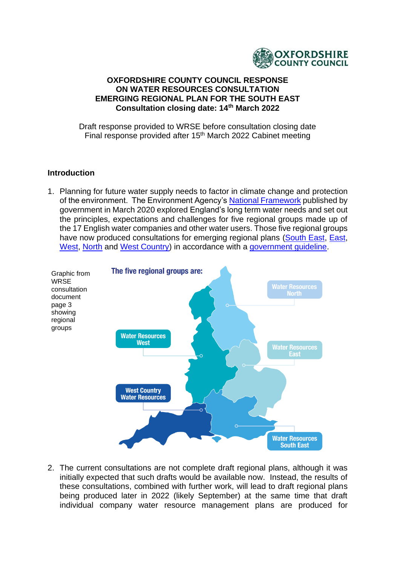

#### **OXFORDSHIRE COUNTY COUNCIL RESPONSE ON WATER RESOURCES CONSULTATION EMERGING REGIONAL PLAN FOR THE SOUTH EAST Consultation closing date: 14th March 2022**

Draft response provided to WRSE before consultation closing date Final response provided after 15<sup>th</sup> March 2022 Cabinet meeting

### **Introduction**

1. Planning for future water supply needs to factor in climate change and protection of the environment. The Environment Agency's [National Framework](https://www.gov.uk/government/publications/meeting-our-future-water-needs-a-national-framework-for-water-resources) published by government in March 2020 explored England's long term water needs and set out the principles, expectations and challenges for five regional groups made up of the 17 English water companies and other water users. Those five regional groups have now produced consultations for emerging regional plans [\(South East,](https://www.wrse.org.uk/) [East,](https://wre.org.uk/) [West,](https://waterresourceswest.co.uk/) [North](https://www.waterresourcesnorth.org/) and [West Country\)](https://www.wcwrg.org/) in accordance with a government quideline.



2. The current consultations are not complete draft regional plans, although it was initially expected that such drafts would be available now. Instead, the results of these consultations, combined with further work, will lead to draft regional plans being produced later in 2022 (likely September) at the same time that draft individual company water resource management plans are produced for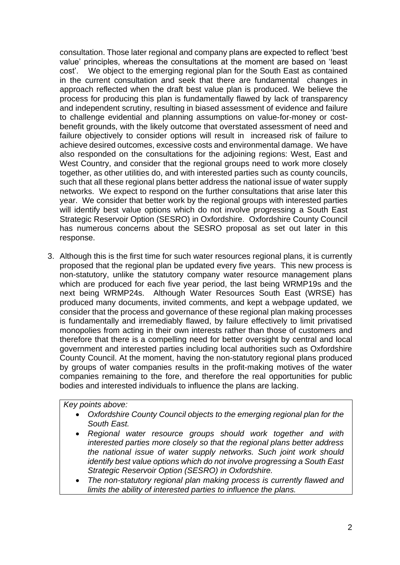consultation. Those later regional and company plans are expected to reflect 'best value' principles, whereas the consultations at the moment are based on 'least cost'. We object to the emerging regional plan for the South East as contained in the current consultation and seek that there are fundamental changes in approach reflected when the draft best value plan is produced. We believe the process for producing this plan is fundamentally flawed by lack of transparency and independent scrutiny, resulting in biased assessment of evidence and failure to challenge evidential and planning assumptions on value-for-money or costbenefit grounds, with the likely outcome that overstated assessment of need and failure objectively to consider options will result in increased risk of failure to achieve desired outcomes, excessive costs and environmental damage. We have also responded on the consultations for the adjoining regions: West, East and West Country, and consider that the regional groups need to work more closely together, as other utilities do, and with interested parties such as county councils, such that all these regional plans better address the national issue of water supply networks. We expect to respond on the further consultations that arise later this year. We consider that better work by the regional groups with interested parties will identify best value options which do not involve progressing a South East Strategic Reservoir Option (SESRO) in Oxfordshire. Oxfordshire County Council has numerous concerns about the SESRO proposal as set out later in this response.

3. Although this is the first time for such water resources regional plans, it is currently proposed that the regional plan be updated every five years. This new process is non-statutory, unlike the statutory company water resource management plans which are produced for each five year period, the last being WRMP19s and the next being WRMP24s. Although Water Resources South East (WRSE) has produced many documents, invited comments, and kept a webpage updated, we consider that the process and governance of these regional plan making processes is fundamentally and irremediably flawed, by failure effectively to limit privatised monopolies from acting in their own interests rather than those of customers and therefore that there is a compelling need for better oversight by central and local government and interested parties including local authorities such as Oxfordshire County Council. At the moment, having the non-statutory regional plans produced by groups of water companies results in the profit-making motives of the water companies remaining to the fore, and therefore the real opportunities for public bodies and interested individuals to influence the plans are lacking.

*Key points above:* 

- *Oxfordshire County Council objects to the emerging regional plan for the South East.*
- *Regional water resource groups should work together and with interested parties more closely so that the regional plans better address the national issue of water supply networks. Such joint work should identify best value options which do not involve progressing a South East Strategic Reservoir Option (SESRO) in Oxfordshire.*
- *The non-statutory regional plan making process is currently flawed and limits the ability of interested parties to influence the plans.*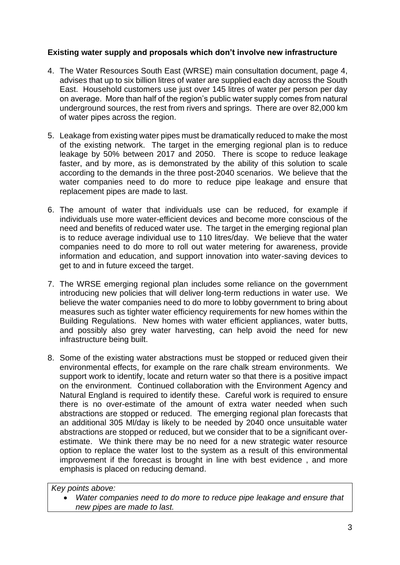## **Existing water supply and proposals which don't involve new infrastructure**

- 4. The Water Resources South East (WRSE) main consultation document, page 4, advises that up to six billion litres of water are supplied each day across the South East. Household customers use just over 145 litres of water per person per day on average. More than half of the region's public water supply comes from natural underground sources, the rest from rivers and springs. There are over 82,000 km of water pipes across the region.
- 5. Leakage from existing water pipes must be dramatically reduced to make the most of the existing network. The target in the emerging regional plan is to reduce leakage by 50% between 2017 and 2050. There is scope to reduce leakage faster, and by more, as is demonstrated by the ability of this solution to scale according to the demands in the three post-2040 scenarios. We believe that the water companies need to do more to reduce pipe leakage and ensure that replacement pipes are made to last.
- 6. The amount of water that individuals use can be reduced, for example if individuals use more water-efficient devices and become more conscious of the need and benefits of reduced water use. The target in the emerging regional plan is to reduce average individual use to 110 litres/day. We believe that the water companies need to do more to roll out water metering for awareness, provide information and education, and support innovation into water-saving devices to get to and in future exceed the target.
- 7. The WRSE emerging regional plan includes some reliance on the government introducing new policies that will deliver long-term reductions in water use. We believe the water companies need to do more to lobby government to bring about measures such as tighter water efficiency requirements for new homes within the Building Regulations. New homes with water efficient appliances, water butts, and possibly also grey water harvesting, can help avoid the need for new infrastructure being built.
- 8. Some of the existing water abstractions must be stopped or reduced given their environmental effects, for example on the rare chalk stream environments. We support work to identify, locate and return water so that there is a positive impact on the environment. Continued collaboration with the Environment Agency and Natural England is required to identify these. Careful work is required to ensure there is no over-estimate of the amount of extra water needed when such abstractions are stopped or reduced. The emerging regional plan forecasts that an additional 305 Ml/day is likely to be needed by 2040 once unsuitable water abstractions are stopped or reduced, but we consider that to be a significant overestimate. We think there may be no need for a new strategic water resource option to replace the water lost to the system as a result of this environmental improvement if the forecast is brought in line with best evidence , and more emphasis is placed on reducing demand.

*Key points above:* 

• *Water companies need to do more to reduce pipe leakage and ensure that new pipes are made to last.*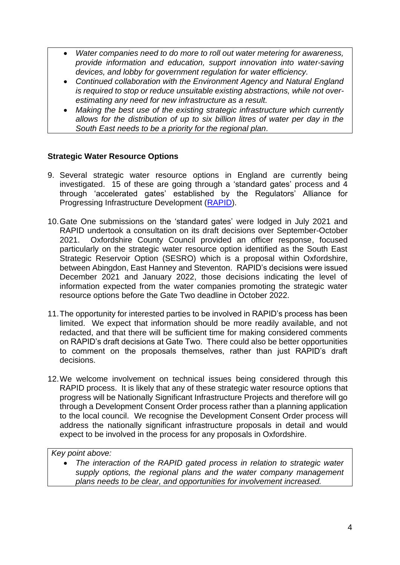- *Water companies need to do more to roll out water metering for awareness, provide information and education, support innovation into water-saving devices, and lobby for government regulation for water efficiency.*
- *Continued collaboration with the Environment Agency and Natural England is required to stop or reduce unsuitable existing abstractions, while not overestimating any need for new infrastructure as a result.*
- *Making the best use of the existing strategic infrastructure which currently allows for the distribution of up to six billion litres of water per day in the South East needs to be a priority for the regional plan.*

### **Strategic Water Resource Options**

- 9. Several strategic water resource options in England are currently being investigated. 15 of these are going through a 'standard gates' process and 4 through 'accelerated gates' established by the Regulators' Alliance for Progressing Infrastructure Development [\(RAPID\)](https://www.ofwat.gov.uk/regulated-companies/rapid/the-rapid-gated-process/).
- 10.Gate One submissions on the 'standard gates' were lodged in July 2021 and RAPID undertook a consultation on its draft decisions over September-October 2021. Oxfordshire County Council provided an officer response, focused particularly on the strategic water resource option identified as the South East Strategic Reservoir Option (SESRO) which is a proposal within Oxfordshire, between Abingdon, East Hanney and Steventon. RAPID's decisions were issued December 2021 and January 2022, those decisions indicating the level of information expected from the water companies promoting the strategic water resource options before the Gate Two deadline in October 2022.
- 11.The opportunity for interested parties to be involved in RAPID's process has been limited. We expect that information should be more readily available, and not redacted, and that there will be sufficient time for making considered comments on RAPID's draft decisions at Gate Two. There could also be better opportunities to comment on the proposals themselves, rather than just RAPID's draft decisions.
- 12.We welcome involvement on technical issues being considered through this RAPID process. It is likely that any of these strategic water resource options that progress will be Nationally Significant Infrastructure Projects and therefore will go through a Development Consent Order process rather than a planning application to the local council. We recognise the Development Consent Order process will address the nationally significant infrastructure proposals in detail and would expect to be involved in the process for any proposals in Oxfordshire.

*Key point above:* 

• *The interaction of the RAPID gated process in relation to strategic water supply options, the regional plans and the water company management plans needs to be clear, and opportunities for involvement increased.*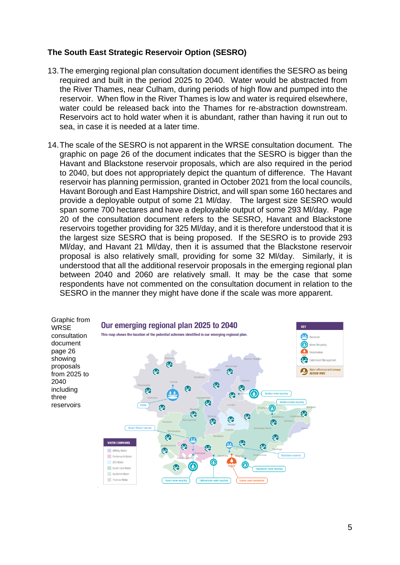### **The South East Strategic Reservoir Option (SESRO)**

- 13.The emerging regional plan consultation document identifies the SESRO as being required and built in the period 2025 to 2040. Water would be abstracted from the River Thames, near Culham, during periods of high flow and pumped into the reservoir. When flow in the River Thames is low and water is required elsewhere, water could be released back into the Thames for re-abstraction downstream. Reservoirs act to hold water when it is abundant, rather than having it run out to sea, in case it is needed at a later time.
- 14.The scale of the SESRO is not apparent in the WRSE consultation document. The graphic on page 26 of the document indicates that the SESRO is bigger than the Havant and Blackstone reservoir proposals, which are also required in the period to 2040, but does not appropriately depict the quantum of difference. The Havant reservoir has planning permission, granted in October 2021 from the local councils, Havant Borough and East Hampshire District, and will span some 160 hectares and provide a deployable output of some 21 Ml/day. The largest size SESRO would span some 700 hectares and have a deployable output of some 293 Ml/day. Page 20 of the consultation document refers to the SESRO, Havant and Blackstone reservoirs together providing for 325 Ml/day, and it is therefore understood that it is the largest size SESRO that is being proposed. If the SESRO is to provide 293 Ml/day, and Havant 21 Ml/day, then it is assumed that the Blackstone reservoir proposal is also relatively small, providing for some 32 Ml/day. Similarly, it is understood that all the additional reservoir proposals in the emerging regional plan between 2040 and 2060 are relatively small. It may be the case that some respondents have not commented on the consultation document in relation to the SESRO in the manner they might have done if the scale was more apparent.

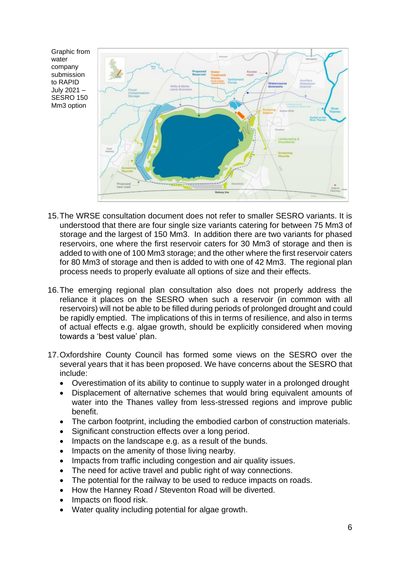

- 15.The WRSE consultation document does not refer to smaller SESRO variants. It is understood that there are four single size variants catering for between 75 Mm3 of storage and the largest of 150 Mm3. In addition there are two variants for phased reservoirs, one where the first reservoir caters for 30 Mm3 of storage and then is added to with one of 100 Mm3 storage; and the other where the first reservoir caters for 80 Mm3 of storage and then is added to with one of 42 Mm3. The regional plan process needs to properly evaluate all options of size and their effects.
- 16.The emerging regional plan consultation also does not properly address the reliance it places on the SESRO when such a reservoir (in common with all reservoirs) will not be able to be filled during periods of prolonged drought and could be rapidly emptied. The implications of this in terms of resilience, and also in terms of actual effects e.g. algae growth, should be explicitly considered when moving towards a 'best value' plan.
- 17.Oxfordshire County Council has formed some views on the SESRO over the several years that it has been proposed. We have concerns about the SESRO that include:
	- Overestimation of its ability to continue to supply water in a prolonged drought
	- Displacement of alternative schemes that would bring equivalent amounts of water into the Thanes valley from less-stressed regions and improve public benefit.
	- The carbon footprint, including the embodied carbon of construction materials.
	- Significant construction effects over a long period.
	- Impacts on the landscape e.g. as a result of the bunds.
	- Impacts on the amenity of those living nearby.
	- Impacts from traffic including congestion and air quality issues.
	- The need for active travel and public right of way connections.
	- The potential for the railway to be used to reduce impacts on roads.
	- How the Hanney Road / Steventon Road will be diverted.
	- Impacts on flood risk.
	- Water quality including potential for algae growth.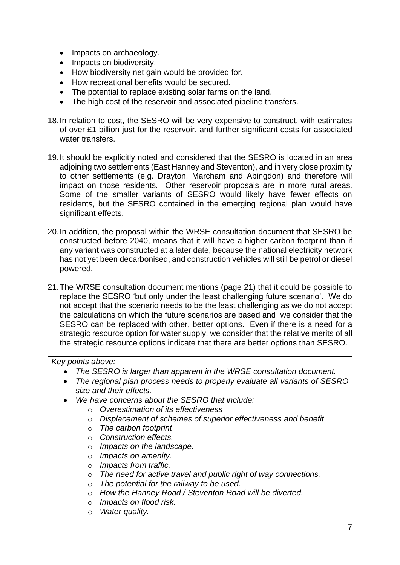- Impacts on archaeology.
- Impacts on biodiversity.
- How biodiversity net gain would be provided for.
- How recreational benefits would be secured.
- The potential to replace existing solar farms on the land.
- The high cost of the reservoir and associated pipeline transfers.
- 18.In relation to cost, the SESRO will be very expensive to construct, with estimates of over £1 billion just for the reservoir, and further significant costs for associated water transfers.
- 19.It should be explicitly noted and considered that the SESRO is located in an area adjoining two settlements (East Hanney and Steventon), and in very close proximity to other settlements (e.g. Drayton, Marcham and Abingdon) and therefore will impact on those residents. Other reservoir proposals are in more rural areas. Some of the smaller variants of SESRO would likely have fewer effects on residents, but the SESRO contained in the emerging regional plan would have significant effects.
- 20.In addition, the proposal within the WRSE consultation document that SESRO be constructed before 2040, means that it will have a higher carbon footprint than if any variant was constructed at a later date, because the national electricity network has not yet been decarbonised, and construction vehicles will still be petrol or diesel powered.
- 21.The WRSE consultation document mentions (page 21) that it could be possible to replace the SESRO 'but only under the least challenging future scenario'. We do not accept that the scenario needs to be the least challenging as we do not accept the calculations on which the future scenarios are based and we consider that the SESRO can be replaced with other, better options. Even if there is a need for a strategic resource option for water supply, we consider that the relative merits of all the strategic resource options indicate that there are better options than SESRO.

*Key points above:* 

- *The SESRO is larger than apparent in the WRSE consultation document.*
- *The regional plan process needs to properly evaluate all variants of SESRO size and their effects.*
- *We have concerns about the SESRO that include:*
	- o *Overestimation of its effectiveness*
	- o *Displacement of schemes of superior effectiveness and benefit*
	- o *The carbon footprint*
	- o *Construction effects.*
	- o *Impacts on the landscape.*
	- o *Impacts on amenity.*
	- o *Impacts from traffic.*
	- o *The need for active travel and public right of way connections.*
	- o *The potential for the railway to be used.*
	- o *How the Hanney Road / Steventon Road will be diverted.*
	- o *Impacts on flood risk.*
	- o *Water quality.*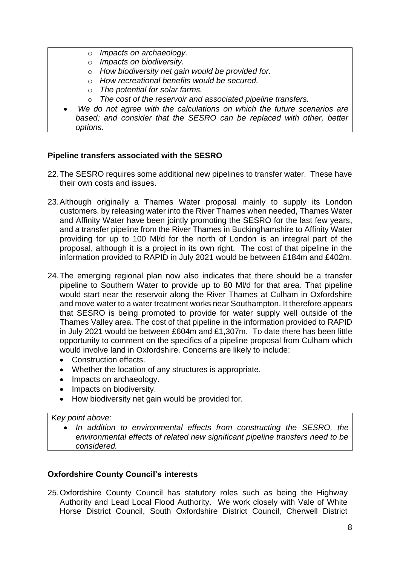- o *Impacts on archaeology.*
- o *Impacts on biodiversity.*
- o *How biodiversity net gain would be provided for.*
- o *How recreational benefits would be secured.*
- o *The potential for solar farms.*
- o *The cost of the reservoir and associated pipeline transfers.*
- *We do not agree with the calculations on which the future scenarios are based; and consider that the SESRO can be replaced with other, better options.*

## **Pipeline transfers associated with the SESRO**

- 22.The SESRO requires some additional new pipelines to transfer water. These have their own costs and issues.
- 23.Although originally a Thames Water proposal mainly to supply its London customers, by releasing water into the River Thames when needed, Thames Water and Affinity Water have been jointly promoting the SESRO for the last few years, and a transfer pipeline from the River Thames in Buckinghamshire to Affinity Water providing for up to 100 Ml/d for the north of London is an integral part of the proposal, although it is a project in its own right. The cost of that pipeline in the information provided to RAPID in July 2021 would be between £184m and £402m.
- 24.The emerging regional plan now also indicates that there should be a transfer pipeline to Southern Water to provide up to 80 Ml/d for that area. That pipeline would start near the reservoir along the River Thames at Culham in Oxfordshire and move water to a water treatment works near Southampton. It therefore appears that SESRO is being promoted to provide for water supply well outside of the Thames Valley area. The cost of that pipeline in the information provided to RAPID in July 2021 would be between £604m and £1,307m. To date there has been little opportunity to comment on the specifics of a pipeline proposal from Culham which would involve land in Oxfordshire. Concerns are likely to include:
	- Construction effects.
	- Whether the location of any structures is appropriate.
	- Impacts on archaeology.
	- Impacts on biodiversity.
	- How biodiversity net gain would be provided for.

#### *Key point above:*

• *In addition to environmental effects from constructing the SESRO, the environmental effects of related new significant pipeline transfers need to be considered.*

## **Oxfordshire County Council's interests**

25.Oxfordshire County Council has statutory roles such as being the Highway Authority and Lead Local Flood Authority. We work closely with Vale of White Horse District Council, South Oxfordshire District Council, Cherwell District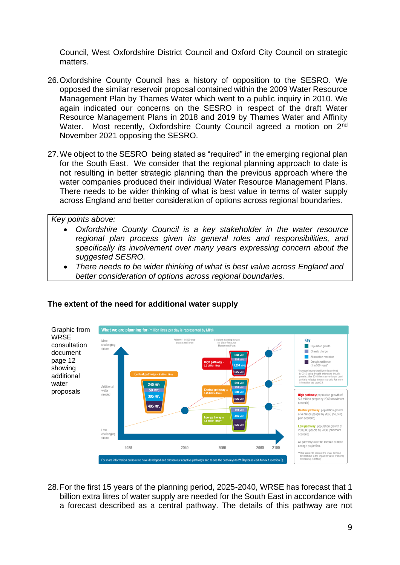Council, West Oxfordshire District Council and Oxford City Council on strategic matters.

- 26.Oxfordshire County Council has a history of opposition to the SESRO. We opposed the similar reservoir proposal contained within the 2009 Water Resource Management Plan by Thames Water which went to a public inquiry in 2010. We again indicated our concerns on the SESRO in respect of the draft Water Resource Management Plans in 2018 and 2019 by Thames Water and Affinity Water. Most recently, Oxfordshire County Council agreed a motion on 2<sup>nd</sup> November 2021 opposing the SESRO.
- 27.We object to the SESRO being stated as "required" in the emerging regional plan for the South East. We consider that the regional planning approach to date is not resulting in better strategic planning than the previous approach where the water companies produced their individual Water Resource Management Plans. There needs to be wider thinking of what is best value in terms of water supply across England and better consideration of options across regional boundaries.

*Key points above:* 

- *Oxfordshire County Council is a key stakeholder in the water resource regional plan process given its general roles and responsibilities, and specifically its involvement over many years expressing concern about the suggested SESRO.*
- *There needs to be wider thinking of what is best value across England and better consideration of options across regional boundaries.*



#### **The extent of the need for additional water supply**

28.For the first 15 years of the planning period, 2025-2040, WRSE has forecast that 1 billion extra litres of water supply are needed for the South East in accordance with a forecast described as a central pathway. The details of this pathway are not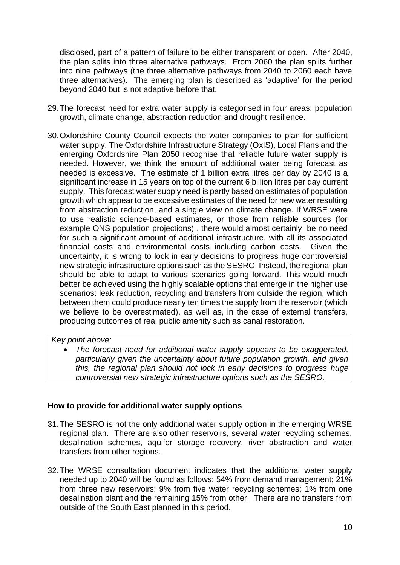disclosed, part of a pattern of failure to be either transparent or open. After 2040, the plan splits into three alternative pathways. From 2060 the plan splits further into nine pathways (the three alternative pathways from 2040 to 2060 each have three alternatives). The emerging plan is described as 'adaptive' for the period beyond 2040 but is not adaptive before that.

- 29.The forecast need for extra water supply is categorised in four areas: population growth, climate change, abstraction reduction and drought resilience.
- 30.Oxfordshire County Council expects the water companies to plan for sufficient water supply. The Oxfordshire Infrastructure Strategy (OxIS), Local Plans and the emerging Oxfordshire Plan 2050 recognise that reliable future water supply is needed. However, we think the amount of additional water being forecast as needed is excessive. The estimate of 1 billion extra litres per day by 2040 is a significant increase in 15 years on top of the current 6 billion litres per day current supply. This forecast water supply need is partly based on estimates of population growth which appear to be excessive estimates of the need for new water resulting from abstraction reduction, and a single view on climate change. If WRSE were to use realistic science-based estimates, or those from reliable sources (for example ONS population projections) , there would almost certainly be no need for such a significant amount of additional infrastructure, with all its associated financial costs and environmental costs including carbon costs. Given the uncertainty, it is wrong to lock in early decisions to progress huge controversial new strategic infrastructure options such as the SESRO. Instead, the regional plan should be able to adapt to various scenarios going forward. This would much better be achieved using the highly scalable options that emerge in the higher use scenarios: leak reduction, recycling and transfers from outside the region, which between them could produce nearly ten times the supply from the reservoir (which we believe to be overestimated), as well as, in the case of external transfers, producing outcomes of real public amenity such as canal restoration.

## *Key point above:*

• *The forecast need for additional water supply appears to be exaggerated, particularly given the uncertainty about future population growth, and given this, the regional plan should not lock in early decisions to progress huge controversial new strategic infrastructure options such as the SESRO.*

#### **How to provide for additional water supply options**

- 31.The SESRO is not the only additional water supply option in the emerging WRSE regional plan. There are also other reservoirs, several water recycling schemes, desalination schemes, aquifer storage recovery, river abstraction and water transfers from other regions.
- 32.The WRSE consultation document indicates that the additional water supply needed up to 2040 will be found as follows: 54% from demand management; 21% from three new reservoirs; 9% from five water recycling schemes; 1% from one desalination plant and the remaining 15% from other. There are no transfers from outside of the South East planned in this period.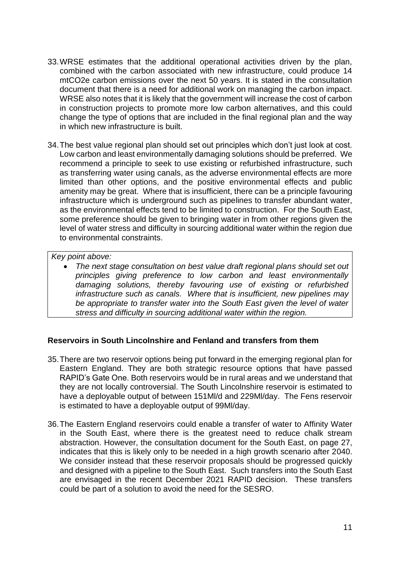- 33.WRSE estimates that the additional operational activities driven by the plan, combined with the carbon associated with new infrastructure, could produce 14 mtCO2e carbon emissions over the next 50 years. It is stated in the consultation document that there is a need for additional work on managing the carbon impact. WRSE also notes that it is likely that the government will increase the cost of carbon in construction projects to promote more low carbon alternatives, and this could change the type of options that are included in the final regional plan and the way in which new infrastructure is built.
- 34.The best value regional plan should set out principles which don't just look at cost. Low carbon and least environmentally damaging solutions should be preferred. We recommend a principle to seek to use existing or refurbished infrastructure, such as transferring water using canals, as the adverse environmental effects are more limited than other options, and the positive environmental effects and public amenity may be great. Where that is insufficient, there can be a principle favouring infrastructure which is underground such as pipelines to transfer abundant water, as the environmental effects tend to be limited to construction. For the South East, some preference should be given to bringing water in from other regions given the level of water stress and difficulty in sourcing additional water within the region due to environmental constraints.

# *Key point above:*

• *The next stage consultation on best value draft regional plans should set out principles giving preference to low carbon and least environmentally damaging solutions, thereby favouring use of existing or refurbished infrastructure such as canals. Where that is insufficient, new pipelines may be appropriate to transfer water into the South East given the level of water stress and difficulty in sourcing additional water within the region.* 

#### **Reservoirs in South Lincolnshire and Fenland and transfers from them**

- 35.There are two reservoir options being put forward in the emerging regional plan for Eastern England. They are both strategic resource options that have passed RAPID's Gate One. Both reservoirs would be in rural areas and we understand that they are not locally controversial. The South Lincolnshire reservoir is estimated to have a deployable output of between 151Ml/d and 229Ml/day. The Fens reservoir is estimated to have a deployable output of 99Ml/day.
- 36.The Eastern England reservoirs could enable a transfer of water to Affinity Water in the South East, where there is the greatest need to reduce chalk stream abstraction. However, the consultation document for the South East, on page 27, indicates that this is likely only to be needed in a high growth scenario after 2040. We consider instead that these reservoir proposals should be progressed quickly and designed with a pipeline to the South East. Such transfers into the South East are envisaged in the recent December 2021 RAPID decision. These transfers could be part of a solution to avoid the need for the SESRO.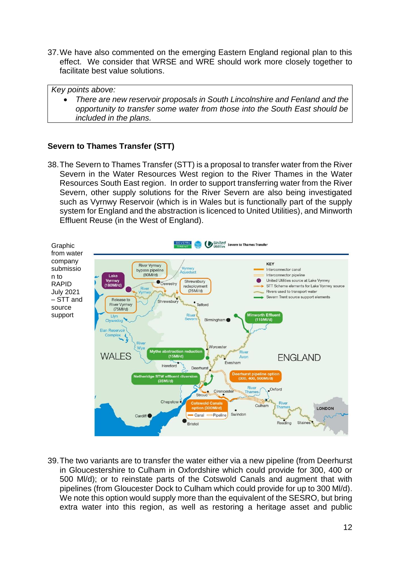37.We have also commented on the emerging Eastern England regional plan to this effect. We consider that WRSE and WRE should work more closely together to facilitate best value solutions.

*Key points above:* 

• *There are new reservoir proposals in South Lincolnshire and Fenland and the opportunity to transfer some water from those into the South East should be included in the plans.* 

# **Severn to Thames Transfer (STT)**

38.The Severn to Thames Transfer (STT) is a proposal to transfer water from the River Severn in the Water Resources West region to the River Thames in the Water Resources South East region. In order to support transferring water from the River Severn, other supply solutions for the River Severn are also being investigated such as Vyrnwy Reservoir (which is in Wales but is functionally part of the supply system for England and the abstraction is licenced to United Utilities), and Minworth Effluent Reuse (in the West of England).



39.The two variants are to transfer the water either via a new pipeline (from Deerhurst in Gloucestershire to Culham in Oxfordshire which could provide for 300, 400 or 500 Ml/d); or to reinstate parts of the Cotswold Canals and augment that with pipelines (from Gloucester Dock to Culham which could provide for up to 300 Ml/d). We note this option would supply more than the equivalent of the SESRO, but bring extra water into this region, as well as restoring a heritage asset and public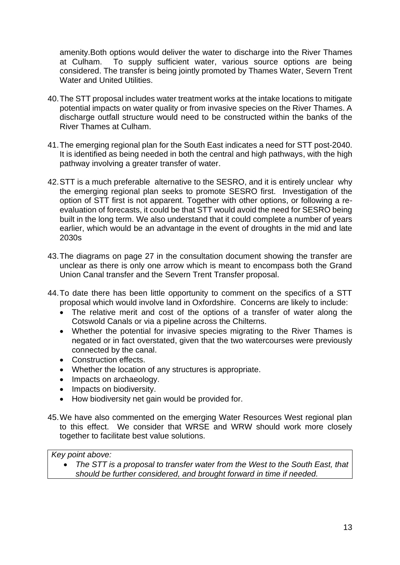amenity.Both options would deliver the water to discharge into the River Thames at Culham. To supply sufficient water, various source options are being considered. The transfer is being jointly promoted by Thames Water, Severn Trent Water and United Utilities.

- 40.The STT proposal includes water treatment works at the intake locations to mitigate potential impacts on water quality or from invasive species on the River Thames. A discharge outfall structure would need to be constructed within the banks of the River Thames at Culham.
- 41.The emerging regional plan for the South East indicates a need for STT post-2040. It is identified as being needed in both the central and high pathways, with the high pathway involving a greater transfer of water.
- 42.STT is a much preferable alternative to the SESRO, and it is entirely unclear why the emerging regional plan seeks to promote SESRO first. Investigation of the option of STT first is not apparent. Together with other options, or following a reevaluation of forecasts, it could be that STT would avoid the need for SESRO being built in the long term. We also understand that it could complete a number of years earlier, which would be an advantage in the event of droughts in the mid and late 2030s
- 43.The diagrams on page 27 in the consultation document showing the transfer are unclear as there is only one arrow which is meant to encompass both the Grand Union Canal transfer and the Severn Trent Transfer proposal.
- 44.To date there has been little opportunity to comment on the specifics of a STT proposal which would involve land in Oxfordshire. Concerns are likely to include:
	- The relative merit and cost of the options of a transfer of water along the Cotswold Canals or via a pipeline across the Chilterns.
	- Whether the potential for invasive species migrating to the River Thames is negated or in fact overstated, given that the two watercourses were previously connected by the canal.
	- Construction effects.
	- Whether the location of any structures is appropriate.
	- Impacts on archaeology.
	- Impacts on biodiversity.
	- How biodiversity net gain would be provided for.
- 45.We have also commented on the emerging Water Resources West regional plan to this effect. We consider that WRSE and WRW should work more closely together to facilitate best value solutions.

*Key point above:* 

• *The STT is a proposal to transfer water from the West to the South East, that should be further considered, and brought forward in time if needed.*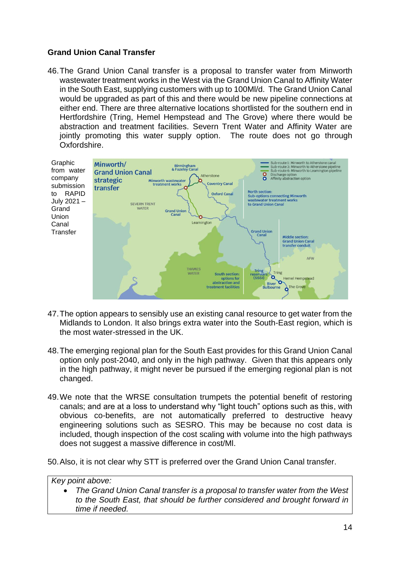# **Grand Union Canal Transfer**

46.The Grand Union Canal transfer is a proposal to transfer water from Minworth wastewater treatment works in the West via the Grand Union Canal to Affinity Water in the South East, supplying customers with up to 100Ml/d. The Grand Union Canal would be upgraded as part of this and there would be new pipeline connections at either end. There are three alternative locations shortlisted for the southern end in Hertfordshire (Tring, Hemel Hempstead and The Grove) where there would be abstraction and treatment facilities. Severn Trent Water and Affinity Water are jointly promoting this water supply option. The route does not go through Oxfordshire.



- 47.The option appears to sensibly use an existing canal resource to get water from the Midlands to London. It also brings extra water into the South-East region, which is the most water-stressed in the UK.
- 48.The emerging regional plan for the South East provides for this Grand Union Canal option only post-2040, and only in the high pathway. Given that this appears only in the high pathway, it might never be pursued if the emerging regional plan is not changed.
- 49.We note that the WRSE consultation trumpets the potential benefit of restoring canals; and are at a loss to understand why "light touch" options such as this, with obvious co-benefits, are not automatically preferred to destructive heavy engineering solutions such as SESRO. This may be because no cost data is included, though inspection of the cost scaling with volume into the high pathways does not suggest a massive difference in cost/Ml.

50.Also, it is not clear why STT is preferred over the Grand Union Canal transfer.

*Key point above:* 

• *The Grand Union Canal transfer is a proposal to transfer water from the West to the South East, that should be further considered and brought forward in time if needed.*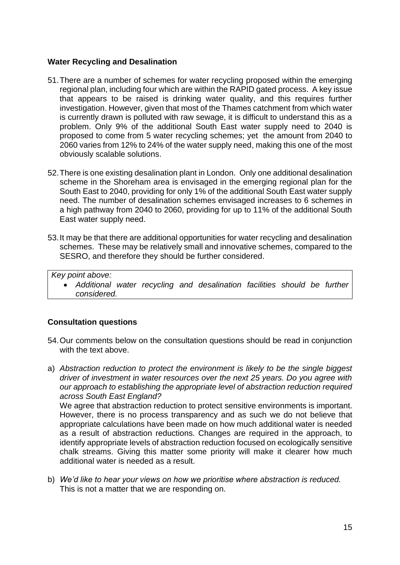### **Water Recycling and Desalination**

- 51.There are a number of schemes for water recycling proposed within the emerging regional plan, including four which are within the RAPID gated process. A key issue that appears to be raised is drinking water quality, and this requires further investigation. However, given that most of the Thames catchment from which water is currently drawn is polluted with raw sewage, it is difficult to understand this as a problem. Only 9% of the additional South East water supply need to 2040 is proposed to come from 5 water recycling schemes; yet the amount from 2040 to 2060 varies from 12% to 24% of the water supply need, making this one of the most obviously scalable solutions.
- 52.There is one existing desalination plant in London.Only one additional desalination scheme in the Shoreham area is envisaged in the emerging regional plan for the South East to 2040, providing for only 1% of the additional South East water supply need. The number of desalination schemes envisaged increases to 6 schemes in a high pathway from 2040 to 2060, providing for up to 11% of the additional South East water supply need.
- 53.It may be that there are additional opportunities for water recycling and desalination schemes. These may be relatively small and innovative schemes, compared to the SESRO, and therefore they should be further considered.

*Key point above:* 

• *Additional water recycling and desalination facilities should be further considered.*

## **Consultation questions**

- 54.Our comments below on the consultation questions should be read in conjunction with the text above.
- a) *Abstraction reduction to protect the environment is likely to be the single biggest driver of investment in water resources over the next 25 years. Do you agree with our approach to establishing the appropriate level of abstraction reduction required across South East England?* We agree that abstraction reduction to protect sensitive environments is important. However, there is no process transparency and as such we do not believe that appropriate calculations have been made on how much additional water is needed as a result of abstraction reductions. Changes are required in the approach, to identify appropriate levels of abstraction reduction focused on ecologically sensitive chalk streams. Giving this matter some priority will make it clearer how much additional water is needed as a result.
- b) *We'd like to hear your views on how we prioritise where abstraction is reduced.* This is not a matter that we are responding on.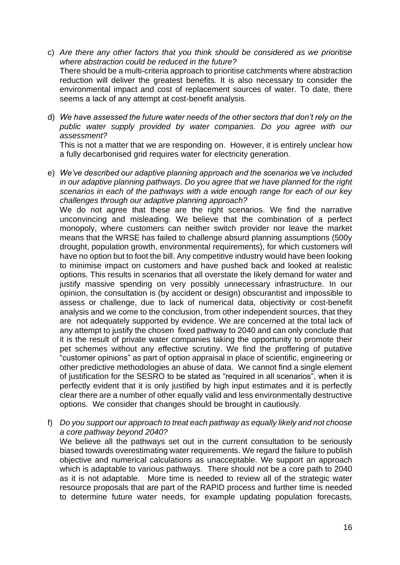- c) *Are there any other factors that you think should be considered as we prioritise where abstraction could be reduced in the future?*  There should be a multi-criteria approach to prioritise catchments where abstraction reduction will deliver the greatest benefits. It is also necessary to consider the environmental impact and cost of replacement sources of water. To date, there seems a lack of any attempt at cost-benefit analysis.
- d) *We have assessed the future water needs of the other sectors that don't rely on the public water supply provided by water companies. Do you agree with our assessment?*

This is not a matter that we are responding on. However, it is entirely unclear how a fully decarbonised grid requires water for electricity generation.

e) *We've described our adaptive planning approach and the scenarios we've included in our adaptive planning pathways. Do you agree that we have planned for the right scenarios in each of the pathways with a wide enough range for each of our key challenges through our adaptive planning approach?* 

We do not agree that these are the right scenarios. We find the narrative unconvincing and misleading. We believe that the combination of a perfect monopoly, where customers can neither switch provider nor leave the market means that the WRSE has failed to challenge absurd planning assumptions (500y drought, population growth, environmental requirements), for which customers will have no option but to foot the bill. Any competitive industry would have been looking to minimise impact on customers and have pushed back and looked at realistic options. This results in scenarios that all overstate the likely demand for water and justify massive spending on very possibly unnecessary infrastructure. In our opinion, the consultation is (by accident or design) obscurantist and impossible to assess or challenge, due to lack of numerical data, objectivity or cost-benefit analysis and we come to the conclusion, from other independent sources, that they are not adequately supported by evidence. We are concerned at the total lack of any attempt to justify the chosen fixed pathway to 2040 and can only conclude that it is the result of private water companies taking the opportunity to promote their pet schemes without any effective scrutiny. We find the proffering of putative "customer opinions" as part of option appraisal in place of scientific, engineering or other predictive methodologies an abuse of data. We cannot find a single element of justification for the SESRO to be stated as "required in all scenarios", when it is perfectly evident that it is only justified by high input estimates and it is perfectly clear there are a number of other equally valid and less environmentally destructive options. We consider that changes should be brought in cautiously.

f) *Do you support our approach to treat each pathway as equally likely and not choose a core pathway beyond 2040?*

We believe all the pathways set out in the current consultation to be seriously biased towards overestimating water requirements. We regard the failure to publish objective and numerical calculations as unacceptable. We support an approach which is adaptable to various pathways. There should not be a core path to 2040 as it is not adaptable. More time is needed to review all of the strategic water resource proposals that are part of the RAPID process and further time is needed to determine future water needs, for example updating population forecasts,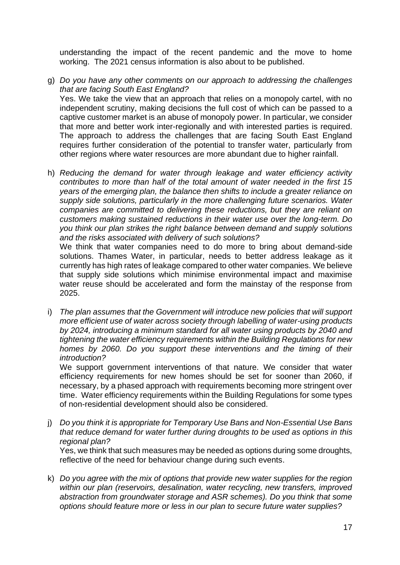understanding the impact of the recent pandemic and the move to home working. The 2021 census information is also about to be published.

g) *Do you have any other comments on our approach to addressing the challenges that are facing South East England?* Yes. We take the view that an approach that relies on a monopoly cartel, with no independent scrutiny, making decisions the full cost of which can be passed to a captive customer market is an abuse of monopoly power. In particular, we consider that more and better work inter-regionally and with interested parties is required. The approach to address the challenges that are facing South East England

requires further consideration of the potential to transfer water, particularly from other regions where water resources are more abundant due to higher rainfall.

h) *Reducing the demand for water through leakage and water efficiency activity contributes to more than half of the total amount of water needed in the first 15 years of the emerging plan, the balance then shifts to include a greater reliance on supply side solutions, particularly in the more challenging future scenarios. Water companies are committed to delivering these reductions, but they are reliant on customers making sustained reductions in their water use over the long-term. Do you think our plan strikes the right balance between demand and supply solutions and the risks associated with delivery of such solutions?*

We think that water companies need to do more to bring about demand-side solutions. Thames Water, in particular, needs to better address leakage as it currently has high rates of leakage compared to other water companies. We believe that supply side solutions which minimise environmental impact and maximise water reuse should be accelerated and form the mainstay of the response from 2025.

i) *The plan assumes that the Government will introduce new policies that will support more efficient use of water across society through labelling of water-using products by 2024, introducing a minimum standard for all water using products by 2040 and tightening the water efficiency requirements within the Building Regulations for new homes by 2060. Do you support these interventions and the timing of their introduction?*

We support government interventions of that nature. We consider that water efficiency requirements for new homes should be set for sooner than 2060, if necessary, by a phased approach with requirements becoming more stringent over time. Water efficiency requirements within the Building Regulations for some types of non-residential development should also be considered.

j) *Do you think it is appropriate for Temporary Use Bans and Non-Essential Use Bans that reduce demand for water further during droughts to be used as options in this regional plan?*

Yes, we think that such measures may be needed as options during some droughts, reflective of the need for behaviour change during such events.

k) *Do you agree with the mix of options that provide new water supplies for the region within our plan (reservoirs, desalination, water recycling, new transfers, improved abstraction from groundwater storage and ASR schemes). Do you think that some options should feature more or less in our plan to secure future water supplies?*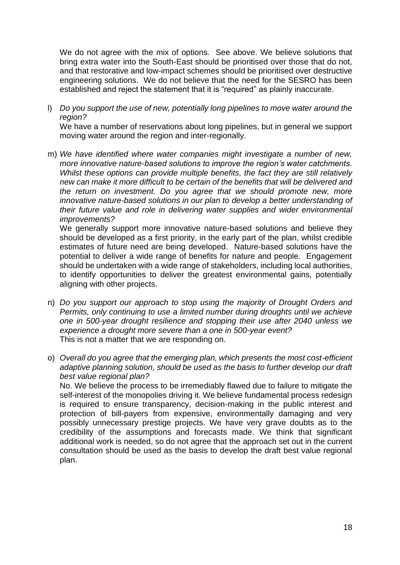We do not agree with the mix of options. See above. We believe solutions that bring extra water into the South-East should be prioritised over those that do not, and that restorative and low-impact schemes should be prioritised over destructive engineering solutions. We do not believe that the need for the SESRO has been established and reject the statement that it is "required" as plainly inaccurate.

l) *Do you support the use of new, potentially long pipelines to move water around the region?*

We have a number of reservations about long pipelines, but in general we support moving water around the region and inter-regionally.

m) *We have identified where water companies might investigate a number of new, more innovative nature-based solutions to improve the region's water catchments. Whilst these options can provide multiple benefits, the fact they are still relatively new can make it more difficult to be certain of the benefits that will be delivered and the return on investment. Do you agree that we should promote new, more innovative nature-based solutions in our plan to develop a better understanding of their future value and role in delivering water supplies and wider environmental improvements?*

We generally support more innovative nature-based solutions and believe they should be developed as a first priority, in the early part of the plan, whilst credible estimates of future need are being developed. Nature-based solutions have the potential to deliver a wide range of benefits for nature and people. Engagement should be undertaken with a wide range of stakeholders, including local authorities, to identify opportunities to deliver the greatest environmental gains, potentially aligning with other projects.

- n) *Do you support our approach to stop using the majority of Drought Orders and Permits, only continuing to use a limited number during droughts until we achieve one in 500-year drought resilience and stopping their use after 2040 unless we experience a drought more severe than a one in 500-year event?* This is not a matter that we are responding on.
- o) *Overall do you agree that the emerging plan, which presents the most cost-efficient adaptive planning solution, should be used as the basis to further develop our draft best value regional plan?* No. We believe the process to be irremediably flawed due to failure to mitigate the

self-interest of the monopolies driving it. We believe fundamental process redesign is required to ensure transparency, decision-making in the public interest and protection of bill-payers from expensive, environmentally damaging and very possibly unnecessary prestige projects. We have very grave doubts as to the credibility of the assumptions and forecasts made. We think that significant additional work is needed, so do not agree that the approach set out in the current consultation should be used as the basis to develop the draft best value regional plan.